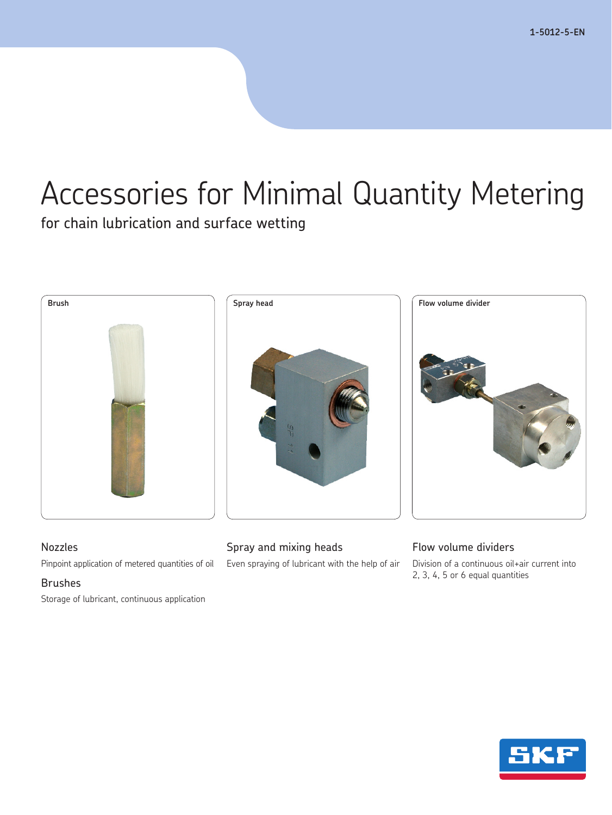**1-5012-5-EN**

# Accessories for Minimal Quantity Metering

for chain lubrication and surface wetting



### Nozzles

Pinpoint application of metered quantities of oil

### Brushes

Storage of lubricant, continuous application

### Spray and mixing heads

Even spraying of lubricant with the help of air

### Flow volume dividers

Division of a continuous oil+air current into 2, 3, 4, 5 or 6 equal quantities

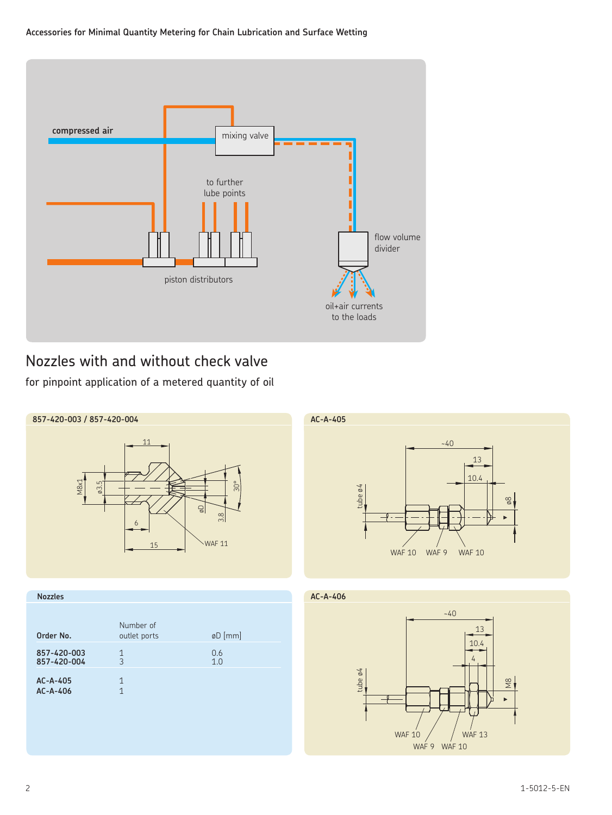### **Accessories for Minimal Quantity Metering for Chain Lubrication and Surface Wetting**



# Nozzles with and without check valve

for pinpoint application of a metered quantity of oil



| Order No.                  | Number of<br>outlet ports | øD [mm]    |
|----------------------------|---------------------------|------------|
| 857-420-003<br>857-420-004 | 1<br>3                    | 0.6<br>1.0 |
| $AC-A-405$<br>$AC-A-406$   | 1                         |            |

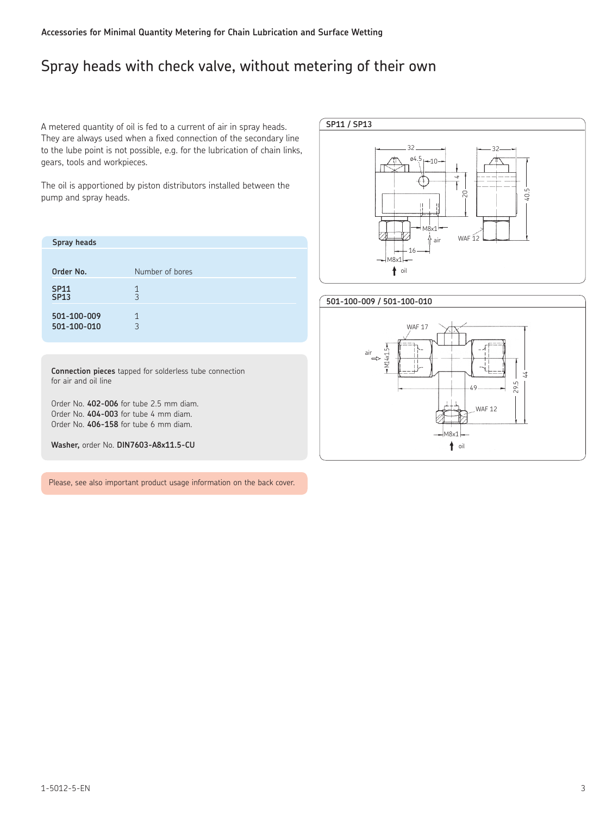# Spray heads with check valve, without metering of their own

A metered quantity of oil is fed to a current of air in spray heads. They are always used when a fixed connection of the secondary line to the lube point is not possible, e.g. for the lubrication of chain links, gears, tools and workpieces.

The oil is apportioned by piston distributors installed between the pump and spray heads.

| Spray heads                |                 |
|----------------------------|-----------------|
|                            |                 |
| Order No.                  | Number of bores |
| <b>SP11</b><br><b>SP13</b> | 1<br>3          |
| 501-100-009<br>501-100-010 | 1<br>3          |

**SP11 / SP13** 32 32  $04.5 - 10$  $\overline{4}$ 40.5 20 M<sub>8x</sub> WAF $12$  $\left\langle \right\rangle$ air 16  $M8v1$ toil



**Connection pieces** tapped for solderless tube connection for air and oil line

Order No. **402-006** for tube 2.5 mm diam. Order No. **404-003** for tube 4 mm diam. Order No. **406-158** for tube 6 mm diam.

**Washer,** order No. **DIN7603-A8x11.5-CU**

Please, see also important product usage information on the back cover.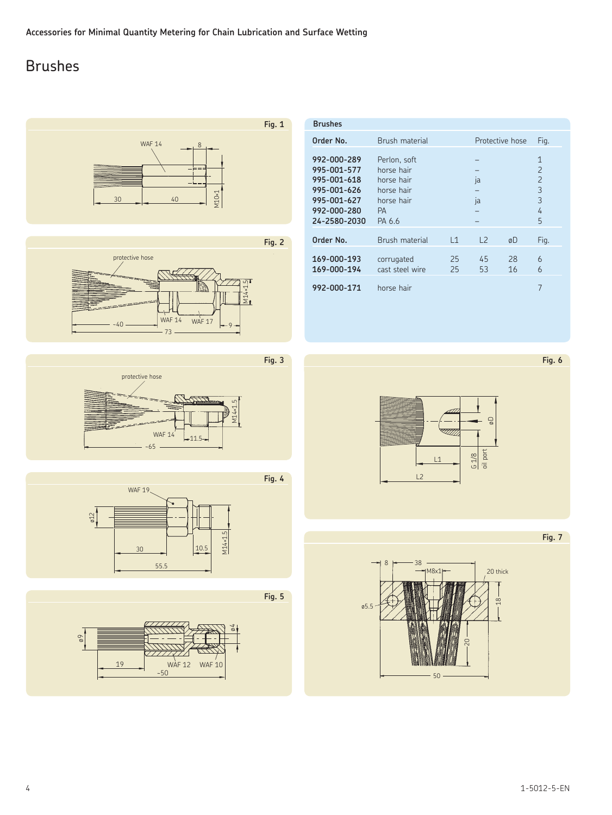# Brushes



| <b>Brushes</b>                                                                                         |                                                                                      |                     |                 |          |                                                                      |
|--------------------------------------------------------------------------------------------------------|--------------------------------------------------------------------------------------|---------------------|-----------------|----------|----------------------------------------------------------------------|
| Order No.                                                                                              | <b>Brush material</b>                                                                |                     | Protective hose |          | Fig.                                                                 |
| 992-000-289<br>995-001-577<br>995-001-618<br>995-001-626<br>995-001-627<br>992-000-280<br>24-2580-2030 | Perlon, soft<br>horse hair<br>horse hair<br>horse hair<br>horse hair<br>PА<br>PA 6.6 |                     | ja<br>ia        |          | $\mathbf{1}$<br>$\overline{2}$<br>$\overline{2}$<br>3<br>3<br>4<br>5 |
| Order No.                                                                                              | Brush material                                                                       | $\lfloor 1 \rfloor$ | L <sub>2</sub>  | øD       | Fig.                                                                 |
| 169-000-193<br>169-000-194                                                                             | corrugated<br>cast steel wire                                                        | 25<br>25            | 45<br>53        | 28<br>16 | 6<br>6                                                               |
| 992-000-171                                                                                            | horse hair                                                                           |                     |                 |          | 7                                                                    |

**Fig. 6**



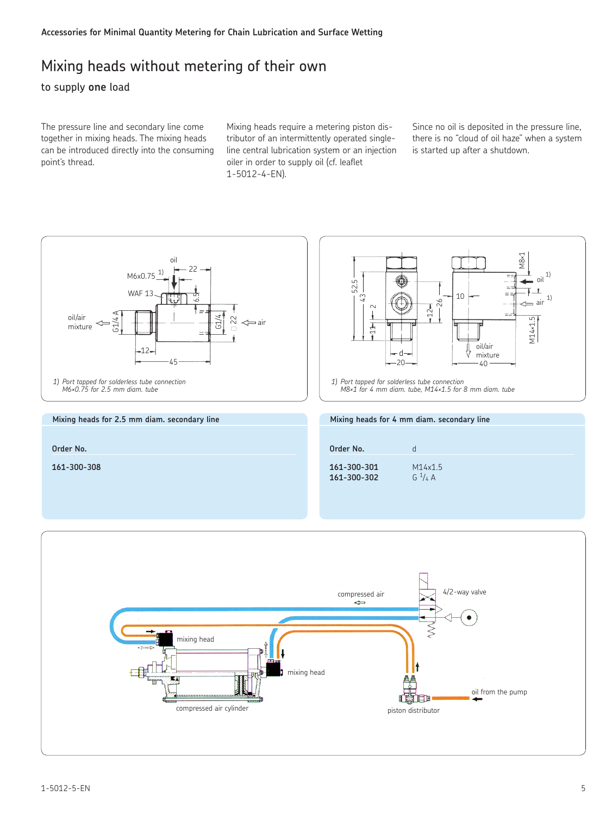### Mixing heads without metering of their own

### to supply **one** load

The pressure line and secondary line come together in mixing heads. The mixing heads can be introduced directly into the consuming point's thread.

Mixing heads require a metering piston distributor of an intermittently operated singleline central lubrication system or an injection oiler in order to supply oil (cf. leaflet 1-5012-4-EN).

Since no oil is deposited in the pressure line, there is no "cloud of oil haze" when a system is started up after a shutdown.

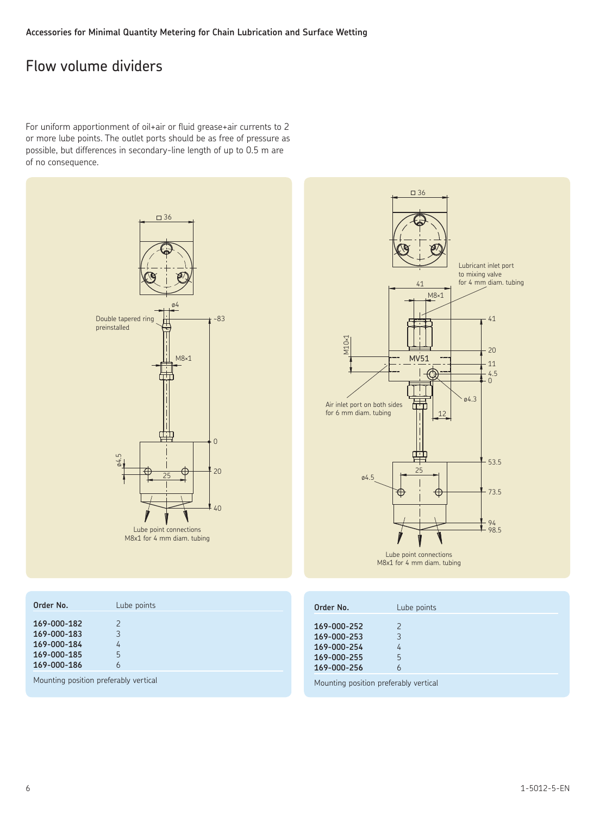## Flow volume dividers

For uniform apportionment of oil+air or fluid grease+air currents to 2 or more lube points. The outlet ports should be as free of pressure as possible, but differences in secondary-line length of up to 0.5 m are of no consequence.



| $\square$ 36<br>Lubricant inlet port<br>to mixing valve<br>for 4 mm diam. tubing<br>41<br>$M8\times1$<br>$-41$<br>M10×1<br>20<br><b>MV51</b><br>11<br>$^{4.5}_{0}$<br>ø4.3<br>Air inlet port on both sides<br>for 6 mm diam. tubing<br>12<br>$\frac{1}{\mathbf{r}}$<br>$-53.5$<br>25 |
|--------------------------------------------------------------------------------------------------------------------------------------------------------------------------------------------------------------------------------------------------------------------------------------|
| 04.5<br>73.5<br>Œ<br>٢ł                                                                                                                                                                                                                                                              |
| 94<br>98.5                                                                                                                                                                                                                                                                           |
| Lube point connections<br>M8x1 for 4 mm diam. tubing                                                                                                                                                                                                                                 |

| Order No.                                                               | Lube points | Order No.                                                               | Lube points |
|-------------------------------------------------------------------------|-------------|-------------------------------------------------------------------------|-------------|
| 169-000-182<br>169-000-183<br>169-000-184<br>169-000-185<br>169-000-186 |             | 169-000-252<br>169-000-253<br>169-000-254<br>169-000-255<br>169-000-256 |             |
| Mounting position preferably vertical                                   |             | Mounting position preferably vertical                                   |             |